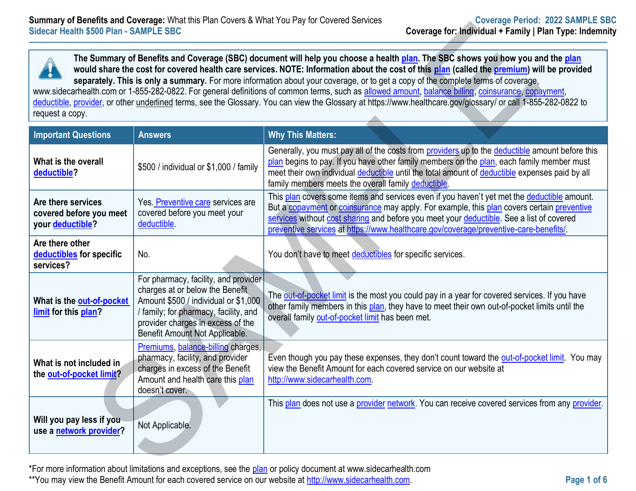| Sidecar Health \$500 Plan - SAMPLE SBC                            | <b>Summary of Benefits and Coverage:</b> What this Plan Covers & What You Pay for Covered Services                                                                                                                              | Coverage Period: ZUZZ SAMPLE SI<br>Coverage for: Individual + Family   Plan Type: Indemn                                                                                                                                                                                                                                                                                                                                                                                                                                                                                                                                                                                                                                                  |
|-------------------------------------------------------------------|---------------------------------------------------------------------------------------------------------------------------------------------------------------------------------------------------------------------------------|-------------------------------------------------------------------------------------------------------------------------------------------------------------------------------------------------------------------------------------------------------------------------------------------------------------------------------------------------------------------------------------------------------------------------------------------------------------------------------------------------------------------------------------------------------------------------------------------------------------------------------------------------------------------------------------------------------------------------------------------|
| request a copy.                                                   |                                                                                                                                                                                                                                 | The Summary of Benefits and Coverage (SBC) document will help you choose a health plan. The SBC shows you how you and the plan<br>would share the cost for covered health care services. NOTE: Information about the cost of this plan (called the premium) will be provided<br>separately. This is only a summary. For more information about your coverage, or to get a copy of the complete terms of coverage,<br>www.sidecarhealth.com or 1-855-282-0822. For general definitions of common terms, such as allowed amount, balance billing, coinsurance, copayment,<br>deductible, provider, or other underlined terms, see the Glossary. You can view the Glossary at https://www.healthcare.gov/glossary/ or call 1-855-282-0822 to |
| <b>Important Questions</b>                                        | <b>Answers</b>                                                                                                                                                                                                                  | <b>Why This Matters:</b>                                                                                                                                                                                                                                                                                                                                                                                                                                                                                                                                                                                                                                                                                                                  |
| What is the overall<br>deductible?                                | \$500 / individual or \$1,000 / family                                                                                                                                                                                          | Generally, you must pay all of the costs from providers up to the deductible amount before this<br>plan begins to pay. If you have other family members on the plan, each family member must<br>meet their own individual deductible until the total amount of deductible expenses paid by all<br>family members meets the overall family deductible.                                                                                                                                                                                                                                                                                                                                                                                     |
| Are there services<br>covered before you meet<br>your deductible? | Yes. Preventive care services are<br>covered before you meet your<br>deductible.                                                                                                                                                | This plan covers some items and services even if you haven't yet met the deductible amount.<br>But a copayment or coinsurance may apply. For example, this plan covers certain preventive<br>services without cost sharing and before you meet your deductible. See a list of covered<br>preventive services at https://www.healthcare.gov/coverage/preventive-care-benefits/.                                                                                                                                                                                                                                                                                                                                                            |
| Are there other<br>deductibles for specific<br>services?          | No.                                                                                                                                                                                                                             | You don't have to meet deductibles for specific services.                                                                                                                                                                                                                                                                                                                                                                                                                                                                                                                                                                                                                                                                                 |
| What is the out-of-pocket<br>limit for this plan?                 | For pharmacy, facility, and provider<br>charges at or below the Benefit<br>Amount \$500 / individual or \$1,000<br>/ family; for pharmacy, facility, and<br>provider charges in excess of the<br>Benefit Amount Not Applicable. | The out-of-pocket limit is the most you could pay in a year for covered services. If you have<br>other family members in this plan, they have to meet their own out-of-pocket limits until the<br>overall family out-of-pocket limit has been met.                                                                                                                                                                                                                                                                                                                                                                                                                                                                                        |
| What is not included in<br>the out-of-pocket limit?               | Premiums, balance-billing charges,<br>pharmacy, facility, and provider<br>charges in excess of the Benefit<br>Amount and health care this plan<br>doesn't cover.                                                                | Even though you pay these expenses, they don't count toward the out-of-pocket limit. You may<br>view the Benefit Amount for each covered service on our website at<br>http://www.sidecarhealth.com                                                                                                                                                                                                                                                                                                                                                                                                                                                                                                                                        |
| Will you pay less if you<br>use a network provider?               | Not Applicable.                                                                                                                                                                                                                 | This plan does not use a provider network. You can receive covered services from any provider.                                                                                                                                                                                                                                                                                                                                                                                                                                                                                                                                                                                                                                            |
|                                                                   |                                                                                                                                                                                                                                 | *For more information about limitations and exceptions, see the plan or policy decument at www.sidecarboalth.com                                                                                                                                                                                                                                                                                                                                                                                                                                                                                                                                                                                                                          |

\*For more information about limitations and exceptions, see the [plan](https://www.healthcare.gov/sbc-glossary/#plan) or policy document at www.sidecarhealth.com \*\*You may view the Benefit Amount for each covered service on our website a[t http://www.sidecarhealth.com.](http://www.sidecarhealth.com/) **Page 1 of 6**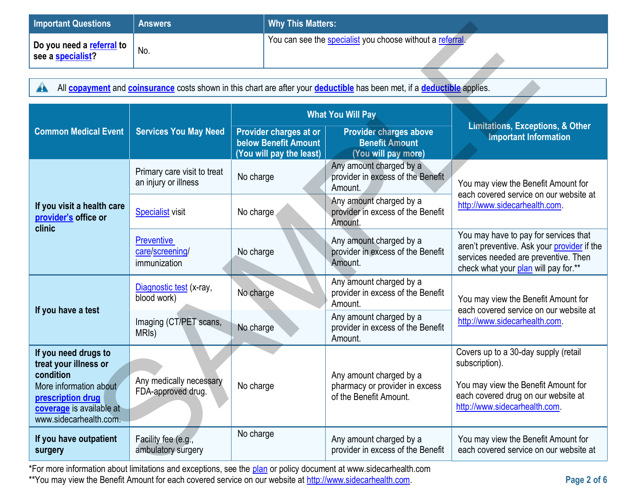| Important Questions                            | <b>Answers</b>  | <b>Why This Matters:</b>                                  |
|------------------------------------------------|-----------------|-----------------------------------------------------------|
| Do you need a referral to<br>see a specialist? | $^{\prime}$ No. | You can see the specialist you choose without a referral. |

| <b>Important Questions</b>                                                                                                                                               | <b>Why This Matters:</b><br><b>Answers</b>                                                                                                                                 |                                                                                   |                                                                                     |                                                                                                                                                                       |  |  |  |
|--------------------------------------------------------------------------------------------------------------------------------------------------------------------------|----------------------------------------------------------------------------------------------------------------------------------------------------------------------------|-----------------------------------------------------------------------------------|-------------------------------------------------------------------------------------|-----------------------------------------------------------------------------------------------------------------------------------------------------------------------|--|--|--|
| Do you need a referral to<br>see a <b>specialist</b> ?                                                                                                                   | No.                                                                                                                                                                        |                                                                                   | You can see the specialist you choose without a referral.                           |                                                                                                                                                                       |  |  |  |
| All <b>copayment</b> and <b>coinsurance</b> costs shown in this chart are after your <b>deductible</b> has been met, if a <b>deductible</b> applies.<br>$\blacktriangle$ |                                                                                                                                                                            |                                                                                   |                                                                                     |                                                                                                                                                                       |  |  |  |
|                                                                                                                                                                          |                                                                                                                                                                            |                                                                                   | <b>What You Will Pay</b>                                                            |                                                                                                                                                                       |  |  |  |
| <b>Common Medical Event</b>                                                                                                                                              | <b>Services You May Need</b>                                                                                                                                               | Provider charges at or<br><b>below Benefit Amount</b><br>(You will pay the least) | <b>Provider charges above</b><br><b>Benefit Amount</b><br>(You will pay more)       | Limitations, Exceptions, & Other<br><b>Important Information</b>                                                                                                      |  |  |  |
|                                                                                                                                                                          | Primary care visit to treat<br>an injury or illness                                                                                                                        | No charge                                                                         | Any amount charged by a<br>provider in excess of the Benefit<br>Amount.             | You may view the Benefit Amount for<br>each covered service on our website at                                                                                         |  |  |  |
| If you visit a health care<br>provider's office or<br>clinic                                                                                                             | <b>Specialist visit</b>                                                                                                                                                    | No charge                                                                         | Any amount charged by a<br>provider in excess of the Benefit<br>Amount.             | http://www.sidecarhealth.com.                                                                                                                                         |  |  |  |
|                                                                                                                                                                          | <b>Preventive</b><br>care/screening/<br>immunization                                                                                                                       | No charge                                                                         | Any amount charged by a<br>provider in excess of the Benefit<br>Amount.             | You may have to pay for services that<br>aren't preventive. Ask your provider if the<br>services needed are preventive. Then<br>check what your plan will pay for.**  |  |  |  |
|                                                                                                                                                                          | Diagnostic test (x-ray,<br>blood work)                                                                                                                                     | No charge                                                                         | Any amount charged by a<br>provider in excess of the Benefit<br>Amount.             | You may view the Benefit Amount for<br>each covered service on our website at                                                                                         |  |  |  |
| If you have a test                                                                                                                                                       | Imaging (CT/PET scans,<br>MRI <sub>s</sub> )                                                                                                                               | No charge                                                                         | Any amount charged by a<br>provider in excess of the Benefit<br>Amount.             | http://www.sidecarhealth.com.                                                                                                                                         |  |  |  |
| If you need drugs to<br>treat your illness or<br>condition<br>More information about<br>prescription drug<br>coverage is available at<br>www.sidecarhealth.com.          | Any medically necessary<br>FDA-approved drug.                                                                                                                              | No charge                                                                         | Any amount charged by a<br>pharmacy or provider in excess<br>of the Benefit Amount. | Covers up to a 30-day supply (retail<br>subscription).<br>You may view the Benefit Amount for<br>each covered drug on our website at<br>http://www.sidecarhealth.com. |  |  |  |
| If you have outpatient<br>surgery                                                                                                                                        | No charge<br>Facility fee (e.g.,<br>ambulatory surgery<br>*For more information about limitations and exceptions, see the plan or policy document at www.sidecarbealth.com |                                                                                   | Any amount charged by a<br>provider in excess of the Benefit                        | You may view the Benefit Amount for<br>each covered service on our website at                                                                                         |  |  |  |

\*For more information about limitations and exceptions, see the [plan](https://www.healthcare.gov/sbc-glossary/#plan) or policy document at www.sidecarhealth.com \*\*You may view the Benefit Amount for each covered service on our website a[t http://www.sidecarhealth.com.](http://www.sidecarhealth.com/)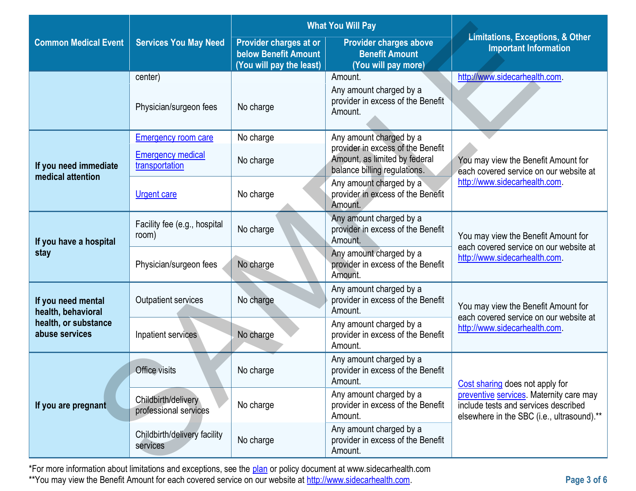|                                                                                    |                                                           |                                                                                   | <b>What You Will Pay</b>                                                                           | <b>Limitations, Exceptions, &amp; Other</b><br><b>Important Information</b>                                                   |  |
|------------------------------------------------------------------------------------|-----------------------------------------------------------|-----------------------------------------------------------------------------------|----------------------------------------------------------------------------------------------------|-------------------------------------------------------------------------------------------------------------------------------|--|
| <b>Common Medical Event</b>                                                        | <b>Services You May Need</b>                              | Provider charges at or<br><b>below Benefit Amount</b><br>(You will pay the least) | <b>Provider charges above</b><br><b>Benefit Amount</b><br>(You will pay more)                      |                                                                                                                               |  |
|                                                                                    | center)                                                   |                                                                                   | Amount.                                                                                            | http://www.sidecarhealth.com.                                                                                                 |  |
|                                                                                    | Physician/surgeon fees                                    | No charge                                                                         | Any amount charged by a<br>provider in excess of the Benefit<br>Amount.                            |                                                                                                                               |  |
|                                                                                    | <b>Emergency room care</b>                                | No charge                                                                         | Any amount charged by a                                                                            |                                                                                                                               |  |
| If you need immediate<br>medical attention                                         | <b>Emergency medical</b><br>transportation                | No charge                                                                         | provider in excess of the Benefit<br>Amount, as limited by federal<br>balance billing regulations. | You may view the Benefit Amount for<br>each covered service on our website at                                                 |  |
|                                                                                    | <b>Urgent care</b>                                        | No charge                                                                         | Any amount charged by a<br>provider in excess of the Benefit<br>Amount.                            | http://www.sidecarhealth.com.                                                                                                 |  |
| If you have a hospital<br>stay                                                     | Facility fee (e.g., hospital<br>room)                     | No charge                                                                         | Any amount charged by a<br>provider in excess of the Benefit<br>Amount.                            | You may view the Benefit Amount for<br>each covered service on our website at                                                 |  |
|                                                                                    | Physician/surgeon fees                                    | No charge                                                                         | Any amount charged by a<br>provider in excess of the Benefit<br>Amount.                            | http://www.sidecarhealth.com.                                                                                                 |  |
| If you need mental<br>health, behavioral<br>health, or substance<br>abuse services | Outpatient services                                       | No charge                                                                         | Any amount charged by a<br>provider in excess of the Benefit<br>Amount.                            | You may view the Benefit Amount for<br>each covered service on our website at                                                 |  |
|                                                                                    | No charge<br>Inpatient services                           |                                                                                   | Any amount charged by a<br>provider in excess of the Benefit<br>Amount.                            | http://www.sidecarhealth.com.                                                                                                 |  |
| If you are pregnant                                                                | Office visits                                             | No charge                                                                         | Any amount charged by a<br>provider in excess of the Benefit<br>Amount.                            | Cost sharing does not apply for                                                                                               |  |
|                                                                                    | Childbirth/delivery<br>No charge<br>professional services |                                                                                   | Any amount charged by a<br>provider in excess of the Benefit<br>Amount.                            | preventive services. Maternity care may<br>include tests and services described<br>elsewhere in the SBC (i.e., ultrasound).** |  |
|                                                                                    | Childbirth/delivery facility<br>services                  | No charge                                                                         | Any amount charged by a<br>provider in excess of the Benefit<br>Amount.                            |                                                                                                                               |  |
|                                                                                    |                                                           |                                                                                   |                                                                                                    |                                                                                                                               |  |

\*For more information about limitations and exceptions, see the [plan](https://www.healthcare.gov/sbc-glossary/#plan) or policy document at www.sidecarhealth.com \*\*You may view the Benefit Amount for each covered service on our website a[t http://www.sidecarhealth.com.](http://www.sidecarhealth.com/)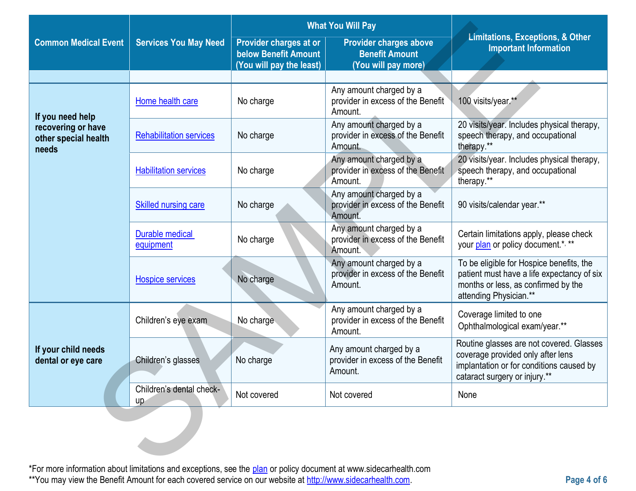|                                                     |                                     |                                                                                   | <b>What You Will Pay</b>                                                                                         |                                                                                                                                                            |  |
|-----------------------------------------------------|-------------------------------------|-----------------------------------------------------------------------------------|------------------------------------------------------------------------------------------------------------------|------------------------------------------------------------------------------------------------------------------------------------------------------------|--|
| <b>Common Medical Event</b>                         | <b>Services You May Need</b>        | Provider charges at or<br><b>below Benefit Amount</b><br>(You will pay the least) | <b>Provider charges above</b><br><b>Benefit Amount</b><br>(You will pay more)                                    | <b>Limitations, Exceptions, &amp; Other</b><br><b>Important Information</b>                                                                                |  |
|                                                     |                                     |                                                                                   |                                                                                                                  |                                                                                                                                                            |  |
| If you need help                                    | Home health care                    | No charge                                                                         | Any amount charged by a<br>provider in excess of the Benefit<br>Amount.                                          | 100 visits/year.**                                                                                                                                         |  |
| recovering or have<br>other special health<br>needs | <b>Rehabilitation services</b>      | No charge                                                                         | Any amount charged by a<br>provider in excess of the Benefit<br>Amount.                                          | 20 visits/year. Includes physical therapy,<br>speech therapy, and occupational<br>therapy.**                                                               |  |
|                                                     | <b>Habilitation services</b>        | No charge                                                                         | Any amount charged by a<br>provider in excess of the Benefit<br>Amount.                                          | 20 visits/year. Includes physical therapy,<br>speech therapy, and occupational<br>therapy.**                                                               |  |
|                                                     | Skilled nursing care                | No charge                                                                         | Any amount charged by a<br>provider in excess of the Benefit<br>Amount.                                          | 90 visits/calendar year.**                                                                                                                                 |  |
|                                                     | <b>Durable medical</b><br>equipment | No charge                                                                         | Any amount charged by a<br>provider in excess of the Benefit<br>Amount.                                          | Certain limitations apply, please check<br>your plan or policy document.*, **                                                                              |  |
|                                                     | <b>Hospice services</b>             | No charge                                                                         | Any amount charged by a<br>provider in excess of the Benefit<br>Amount.                                          | To be eligible for Hospice benefits, the<br>patient must have a life expectancy of six<br>months or less, as confirmed by the<br>attending Physician.**    |  |
|                                                     | Children's eye exam                 | No charge                                                                         | Any amount charged by a<br>provider in excess of the Benefit<br>Amount.                                          | Coverage limited to one<br>Ophthalmological exam/year.**                                                                                                   |  |
| If your child needs<br>dental or eye care           | Children's glasses                  | No charge                                                                         | Any amount charged by a<br>provider in excess of the Benefit<br>Amount.                                          | Routine glasses are not covered. Glasses<br>coverage provided only after lens<br>implantation or for conditions caused by<br>cataract surgery or injury.** |  |
|                                                     | Children's dental check-<br>up      | Not covered                                                                       | Not covered                                                                                                      | None                                                                                                                                                       |  |
|                                                     |                                     |                                                                                   | *For more information about limitations and exceptions, see the plan or policy document at www.sidecarbealth.com |                                                                                                                                                            |  |

\*For more information about limitations and exceptions, see the [plan](https://www.healthcare.gov/sbc-glossary/#plan) or policy document at www.sidecarhealth.com \*\*You may view the Benefit Amount for each covered service on our website a[t http://www.sidecarhealth.com.](http://www.sidecarhealth.com/)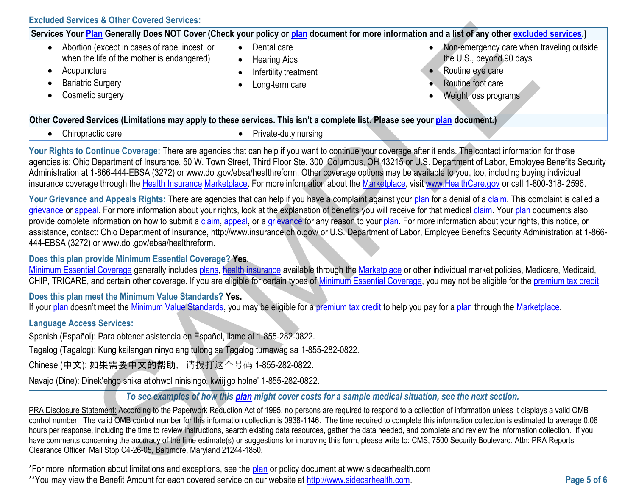**Excluded Services & Other Covered Services:**

| Excluded Services & Other Covered Services:                                                                                                                                                            |                                                                                            |                                                                                                                                                                                                                                                                                                                                                                                                                                                                                                                                                                                                                                                                                                                                  |
|--------------------------------------------------------------------------------------------------------------------------------------------------------------------------------------------------------|--------------------------------------------------------------------------------------------|----------------------------------------------------------------------------------------------------------------------------------------------------------------------------------------------------------------------------------------------------------------------------------------------------------------------------------------------------------------------------------------------------------------------------------------------------------------------------------------------------------------------------------------------------------------------------------------------------------------------------------------------------------------------------------------------------------------------------------|
|                                                                                                                                                                                                        |                                                                                            | Services Your Plan Generally Does NOT Cover (Check your policy or plan document for more information and a list of any other excluded services.)                                                                                                                                                                                                                                                                                                                                                                                                                                                                                                                                                                                 |
| Abortion (except in cases of rape, incest, or<br>$\bullet$<br>when the life of the mother is endangered)<br>Acupuncture<br>$\bullet$<br><b>Bariatric Surgery</b><br>٠<br>Cosmetic surgery<br>$\bullet$ | Dental care<br>$\bullet$<br><b>Hearing Aids</b><br>Infertility treatment<br>Long-term care | Non-emergency care when traveling outside<br>the U.S., beyond 90 days<br>Routine eye care<br>Routine foot care<br>Weight loss programs                                                                                                                                                                                                                                                                                                                                                                                                                                                                                                                                                                                           |
| Other Covered Services (Limitations may apply to these services. This isn't a complete list. Please see your plan document.)                                                                           |                                                                                            |                                                                                                                                                                                                                                                                                                                                                                                                                                                                                                                                                                                                                                                                                                                                  |
| Chiropractic care<br>$\bullet$                                                                                                                                                                         | Private-duty nursing<br>$\bullet$                                                          |                                                                                                                                                                                                                                                                                                                                                                                                                                                                                                                                                                                                                                                                                                                                  |
|                                                                                                                                                                                                        |                                                                                            | Your Rights to Continue Coverage: There are agencies that can help if you want to continue your coverage after it ends. The contact information for those<br>agencies is: Ohio Department of Insurance, 50 W. Town Street, Third Floor Ste. 300, Columbus, OH 43215 or U.S. Department of Labor, Employee Benefits Security<br>Administration at 1-866-444-EBSA (3272) or www.dol.gov/ebsa/healthreform. Other coverage options may be available to you, too, including buying individual<br>insurance coverage through the Health Insurance Marketplace. For more information about the Marketplace, visit www.HealthCare.gov or call 1-800-318-2596.                                                                           |
| 444-EBSA (3272) or www.dol.gov/ebsa/healthreform.                                                                                                                                                      |                                                                                            | Your Grievance and Appeals Rights: There are agencies that can help if you have a complaint against your plan for a denial of a claim. This complaint is called a<br>grievance or appeal. For more information about your rights, look at the explanation of benefits you will receive for that medical claim. Your plan documents also<br>provide complete information on how to submit a claim, appeal, or a grievance for any reason to your plan. For more information about your rights, this notice, or<br>assistance, contact: Ohio Department of Insurance, http://www.insurance.ohio.gov/ or U.S. Department of Labor, Employee Benefits Security Administration at 1-866-                                              |
| Does this plan provide Minimum Essential Coverage? Yes.                                                                                                                                                |                                                                                            | Minimum Essential Coverage generally includes plans, health insurance available through the Marketplace or other individual market policies, Medicare, Medicaid,<br>CHIP, TRICARE, and certain other coverage. If you are eligible for certain types of Minimum Essential Coverage, you may not be eligible for the premium tax credit.                                                                                                                                                                                                                                                                                                                                                                                          |
| Does this plan meet the Minimum Value Standards? Yes.                                                                                                                                                  |                                                                                            | If your plan doesn't meet the Minimum Value Standards, you may be eligible for a premium tax credit to help you pay for a plan through the Marketplace.                                                                                                                                                                                                                                                                                                                                                                                                                                                                                                                                                                          |
| <b>Language Access Services:</b>                                                                                                                                                                       |                                                                                            |                                                                                                                                                                                                                                                                                                                                                                                                                                                                                                                                                                                                                                                                                                                                  |
| Spanish (Español): Para obtener asistencia en Español, llame al 1-855-282-0822.                                                                                                                        |                                                                                            |                                                                                                                                                                                                                                                                                                                                                                                                                                                                                                                                                                                                                                                                                                                                  |
| Tagalog (Tagalog): Kung kailangan ninyo ang tulong sa Tagalog tumawag sa 1-855-282-0822.                                                                                                               |                                                                                            |                                                                                                                                                                                                                                                                                                                                                                                                                                                                                                                                                                                                                                                                                                                                  |
| Chinese (中文): 如果需要中文的帮助,请拨打这个号码 1-855-282-0822.                                                                                                                                                        |                                                                                            |                                                                                                                                                                                                                                                                                                                                                                                                                                                                                                                                                                                                                                                                                                                                  |
| Navajo (Dine): Dinek'ehgo shika at'ohwol ninisingo, kwiijigo holne' 1-855-282-0822.                                                                                                                    |                                                                                            |                                                                                                                                                                                                                                                                                                                                                                                                                                                                                                                                                                                                                                                                                                                                  |
|                                                                                                                                                                                                        |                                                                                            | To see examples of how this plan might cover costs for a sample medical situation, see the next section.                                                                                                                                                                                                                                                                                                                                                                                                                                                                                                                                                                                                                         |
| Clearance Officer, Mail Stop C4-26-05, Baltimore, Maryland 21244-1850.                                                                                                                                 |                                                                                            | PRA Disclosure Statement: According to the Paperwork Reduction Act of 1995, no persons are required to respond to a collection of information unless it displays a valid OMB<br>control number. The valid OMB control number for this information collection is 0938-1146. The time required to complete this information collection is estimated to average 0.08<br>hours per response, including the time to review instructions, search existing data resources, gather the data needed, and complete and review the information collection. If you<br>have comments concerning the accuracy of the time estimate(s) or suggestions for improving this form, please write to: CMS, 7500 Security Boulevard, Attn: PRA Reports |
| *For more information about limitations and exceptions, see the plan or policy document at www.sidecarbealth.com                                                                                       |                                                                                            |                                                                                                                                                                                                                                                                                                                                                                                                                                                                                                                                                                                                                                                                                                                                  |

### **Does this plan provide Minimum Essential Coverage? Yes.**

# **Does this plan meet the Minimum Value Standards? Yes.**

# **Language Access Services:**

\*For more information about limitations and exceptions, see the [plan](https://www.healthcare.gov/sbc-glossary/#plan) or policy document at www.sidecarhealth.com \*\*You may view the Benefit Amount for each covered service on our website a[t http://www.sidecarhealth.com.](http://www.sidecarhealth.com/) **Page 5 of 6**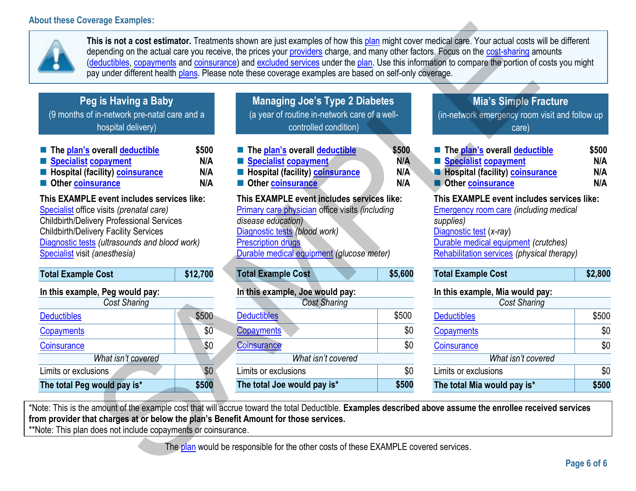# **About these Coverage Examples:**



**This is not a cost estimator.** Treatments shown are just examples of how this plan might cover medical care. Your actual costs will be different depending on the actual care you receive, the prices your providers charge, and many other factors. Focus on the cost-sharing amounts (deductibles, copayments and coinsurance) and excluded services under the plan. Use this information to compare the portion of costs you might pay under different health plans. Please note these coverage examples are based on self-only coverage. eral proposes and the state of the state of the state of the state of the state of the state of the state of the state of the state of the state of the state of the state of the state of the state of the state of the state

| Peg is Having a Baby                         |  |
|----------------------------------------------|--|
| (9 months of in-network pre-natal care and a |  |

hospital delivery)

| ■ The plan's overall deductible                 | \$500 |
|-------------------------------------------------|-------|
| Specialist copayment                            | N/A   |
| <b>E</b> Hospital (facility) <b>coinsurance</b> | N/A   |
| Other coinsurance                               | N/A   |

# **This EXAMPLE event includes services like:**

[Specialist](https://www.healthcare.gov/sbc-glossary/#specialist) office visits *(prenatal care)* Childbirth/Delivery Professional Services Childbirth/Delivery Facility Services [Diagnostic tests](https://www.healthcare.gov/sbc-glossary/#diagnostic-test) *(ultrasounds and blood work)* [Specialist](https://www.healthcare.gov/sbc-glossary/#specialist) visit *(anesthesia)*

| <b>Total Example Cost</b>       | \$12,700 |
|---------------------------------|----------|
| In this example, Peg would pay: |          |
| Cost Sharing                    |          |
| <b>Deductibles</b>              | \$500    |
| Copayments                      | \$0      |
| Coinsurance                     | \$0      |
| What isn't covered              |          |
| Limits or exclusions            | \$0      |
| The total Peg would pay is*     | \$500    |

**Managing Joe's Type 2 Diabetes**  (a year of routine in-network care of a wellcontrolled condition)

| The plan's overall deductible                                                                        | \$500 |
|------------------------------------------------------------------------------------------------------|-------|
| Specialist copayment                                                                                 | N/A   |
| <b>Entry Hospital (facility) coinsurance</b>                                                         | N/A   |
| Other coinsurance                                                                                    | N/A   |
| This EXAMPLE event includes services like:<br><b>Primary care physician office visits (including</b> |       |

*disease education)* Diagnostic tests *(blood work)*

Prescription drugs

Durable medical equipment *(glucose meter)*

| <b>Total Example Cost</b> |  |  | \$5,600 |
|---------------------------|--|--|---------|
|                           |  |  |         |

# **In this example, Joe would pay:**

| <b>Cost Sharing</b>         |       |  |  |
|-----------------------------|-------|--|--|
| <b>Deductibles</b>          | \$500 |  |  |
| Copayments                  | \$0   |  |  |
| Coinsurance                 | \$0   |  |  |
| What isn't covered          |       |  |  |
| Limits or exclusions        | \$0   |  |  |
| The total Joe would pay is* | \$500 |  |  |

# **Mia's Simple Fracture**

(in-network emergency room visit and follow up care)

| The plan's overall deductible          | \$500 |
|----------------------------------------|-------|
| Specialist copayment                   | N/A   |
| <b>Hospital (facility) coinsurance</b> | N/A   |
| <b>Other coinsurance</b>               | N/A   |

# **This EXAMPLE event includes services like:**

Emergency room care *(including medical supplies)* Diagnostic test (*x-ray*) Durable medical equipment *(crutches)* Rehabilitation services *(physical therapy)*

| <b>Total Example Cost</b> | \$2,800 |
|---------------------------|---------|
|---------------------------|---------|

# **In this example, Mia would pay:**

| Cost Sharing                |       |
|-----------------------------|-------|
| <b>Deductibles</b>          | \$500 |
| Copayments                  | \$0   |
| Coinsurance                 | \$0   |
| What isn't covered          |       |
| Limits or exclusions        | \$0   |
| The total Mia would pay is* | \$500 |

\*Note: This is the amount of the example cost that will accrue toward the total Deductible. **Examples described above assume the enrollee received services from provider that charges at or below the plan's Benefit Amount for those services.**

\*\*Note: This plan does not include copayments or coinsurance.

The plan would be responsible for the other costs of these EXAMPLE covered services.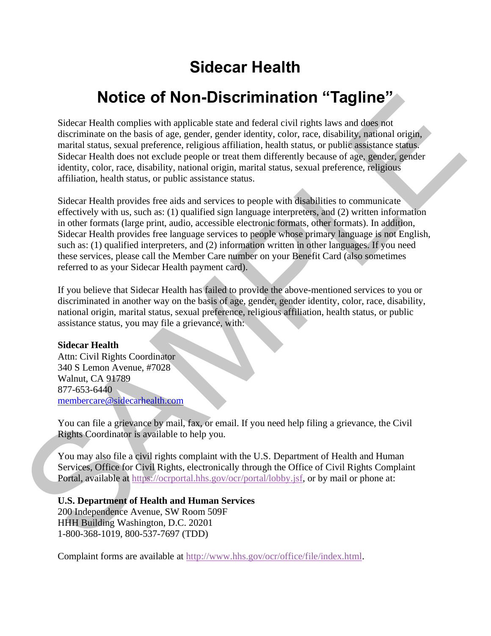# **Sidecar Health**

# **Notice of Non-Discrimination "Tagline"**

Sidecar Health complies with applicable state and federal civil rights laws and does not discriminate on the basis of age, gender, gender identity, color, race, disability, national origin, marital status, sexual preference, religious affiliation, health status, or public assistance status. Sidecar Health does not exclude people or treat them differently because of age, gender, gender identity, color, race, disability, national origin, marital status, sexual preference, religious affiliation, health status, or public assistance status.

Sidecar Health provides free aids and services to people with disabilities to communicate effectively with us, such as: (1) qualified sign language interpreters, and (2) written information in other formats (large print, audio, accessible electronic formats, other formats). In addition, Sidecar Health provides free language services to people whose primary language is not English, such as: (1) qualified interpreters, and (2) information written in other languages. If you need these services, please call the Member Care number on your Benefit Card (also sometimes referred to as your Sidecar Health payment card). **Notice of Non-Discrimination "Tagline"**<br>[S](https://ocrportal.hhs.gov/ocr/portal/lobby.jsf)idecar Health complies with applicable state and federal civil rights have and defined a<br>discriminate on the basis of age, gender, gender identity, color, mea, disability, anional

If you believe that Sidecar Health has failed to provide the above-mentioned services to you or discriminated in another way on the basis of age, gender, gender identity, color, race, disability, national origin, marital status, sexual preference, religious affiliation, health status, or public assistance status, you may file a grievance, with:

### **Sidecar Health**

Attn: Civil Rights Coordinator 340 S Lemon Avenue, #7028 Walnut, CA 91789 877-653-6440 membercare@sidecarhealth.com

You can file a grievance by mail, fax, or email. If you need help filing a grievance, the Civil Rights Coordinator is available to help you.

You may also file a civil rights complaint with the U.S. Department of Health and Human Services, Office for Civil Rights, electronically through the Office of Civil Rights Complaint Portal, available at https://ocrportal.hhs.gov/ocr/portal/lobby.jsf, or by mail or phone at:

# **U.S. Department of Health and Human Services**

200 Independence Avenue, SW Room 509F HHH Building Washington, D.C. 20201 1-800-368-1019, 800-537-7697 (TDD)

Complaint forms are available at [http://www.hhs.gov/ocr/office/file/index.html.](http://www.hhs.gov/ocr/office/file/index.html)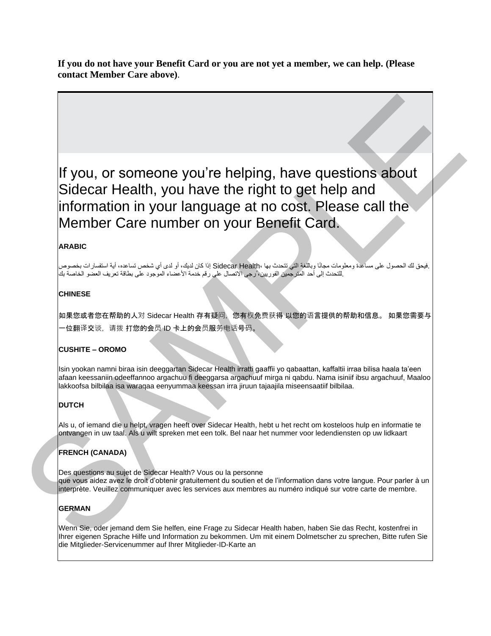**If you do not have your Benefit Card or you are not yet a member, we can help. (Please contact Member Care above)**.

If you, or someone you're helping, have questions about Sidecar Health, you have the right to get help and information in your language at no cost. Please call the Member Care number on your Benefit Card. If you, or someone you're helping, have questions about<br>Sidecar Health, you have the right to get the oster Health Southern Solution<br>information in your language at no cost. Please call the<br>Member Care number on your Bene

#### **ARABIC**

 .فيحق لك الحصول على مساعدة ومعلومات مجانًا وباللغة التي تتحدث بها ،Health Sidecar إذا كان لديك، أو لدى أي شخص تساعده، أية استفسارات بخصوص .للتحدث إلى أحد المترجمين الفوريين، ُرجى االتصال على رقم خدمة األعضاء الموجود على بطاقة تعريف العضو الخاصة بك

#### **CHINESE**

如果您或者您在帮助的人对 Sidecar Health 存有疑问, 您有权免费获得 以您的语言提供的帮助和信息。 如果您需要与 -位翻译交谈,请拨 打您的会员 ID 卡上的会员服务电话号码。

#### **CUSHITE – OROMO**

Isin yookan namni biraa isin deeggartan Sidecar Health irratti gaaffii yo qabaattan, kaffaltii irraa bilisa haala ta'een afaan keessaniin odeeffannoo argachuu fi deeggarsa argachuuf mirga ni qabdu. Nama isiniif ibsu argachuuf, Maaloo lakkoofsa bilbilaa isa waraqaa eenyummaa keessan irra jiruun tajaajila miseensaatiif bilbilaa.

#### **DUTCH**

Als u, of iemand die u helpt, vragen heeft over Sidecar Health, hebt u het recht om kosteloos hulp en informatie te ontvangen in uw taal. Als u wilt spreken met een tolk. Bel naar het nummer voor ledendiensten op uw lidkaart

#### **FRENCH (CANADA)**

Des questions au sujet de Sidecar Health? Vous ou la personne que vous aidez avez le droit d'obtenir gratuitement du soutien et de l'information dans votre langue. Pour parler à un interprète. Veuillez communiquer avec les services aux membres au numéro indiqué sur votre carte de membre.

#### **GERMAN**

Wenn Sie, oder jemand dem Sie helfen, eine Frage zu Sidecar Health haben, haben Sie das Recht, kostenfrei in Ihrer eigenen Sprache Hilfe und Information zu bekommen. Um mit einem Dolmetscher zu sprechen, Bitte rufen Sie die Mitglieder-Servicenummer auf Ihrer Mitglieder-ID-Karte an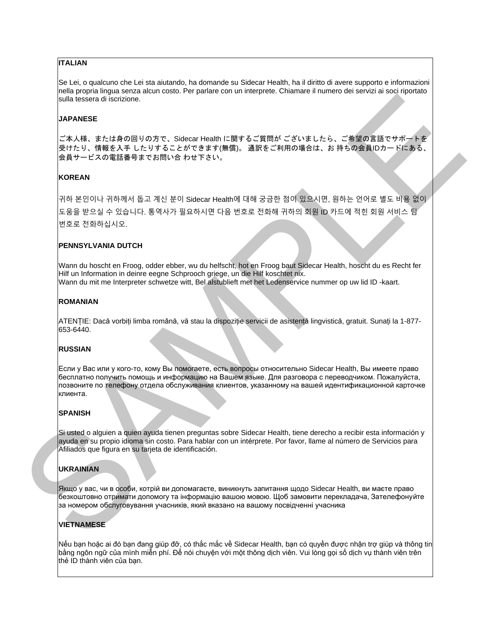#### **ITALIAN**

Se Lei, o qualcuno che Lei sta aiutando, ha domande su Sidecar Health, ha il diritto di avere supporto e informazioni nella propria lingua senza alcun costo. Per parlare con un interprete. Chiamare il numero dei servizi ai soci riportato sulla tessera di iscrizione.

#### **JAPANESE**

ご本人様、または身の回りの方で、Sidecar Health に関するご質問が ございましたら、ご希望の言語でサポートを 受けたり、情報を入手 したりすることができます(無償)。 通訳をご利用の場合は、お 持ちの会員IDカードにある、 会員サービスの電話番号までお問い合 わせ下さい。

#### **KOREAN**

귀하 본인이나 귀하께서 돕고 계신 분이 Sidecar Health에 대해 궁금한 점이 있으시면, 원하는 언어로 별도 비용 없이 도움을 받으실 수 있습니다. 통역사가 필요하시면 다음 번호로 전화해 귀하의 회원 ID 카드에 적힌 회원 서비스 팀 번호로 전화하십시오. and recovered therefore a<br>
ARABSE C. 2014 (P. 2014) (P. 2014) (P. 2014) (P. 2014) (P. 2014) (P. 2014) (P. 2014) (P. 2014) (P. 2014)<br>
(P. 2014) (P. 2014) (P. 2014) (P. 2014) (P. 2014) (P. 2014) (P. 2014) (P. 2014) (P. 2014

#### **PENNSYLVANIA DUTCH**

Wann du hoscht en Froog, odder ebber, wu du helfscht, hot en Froog baut Sidecar Health, hoscht du es Recht fer Hilf un Information in deinre eegne Schprooch griege, un die Hilf koschtet nix. Wann du mit me Interpreter schwetze witt, Bel alstublieft met het Ledenservice nummer op uw lid ID -kaart.

#### **ROMANIAN**

ATENȚIE: Dacă vorbiți limba română, vă stau la dispoziție servicii de asistență lingvistică, gratuit. Sunați la 1-877- 653-6440.

#### **RUSSIAN**

Если у Вас или у кого-то, кому Вы помогаете, есть вопросы относительно Sidecar Health, Вы имеете право бесплатно получить помощь и информацию на Вашем языке. Для разговора с переводчиком. Пожалуйста, позвоните по телефону отдела обслуживания клиентов, указанному на вашей идентификационной карточке клиента.

#### **SPANISH**

Si usted o alguien a quien ayuda tienen preguntas sobre Sidecar Health, tiene derecho a recibir esta información y ayuda en su propio idioma sin costo. Para hablar con un intérprete. Por favor, llame al número de Servicios para Afiliados que figura en su tarjeta de identificación.

#### **UKRAINIAN**

Якщо у вас, чи в особи, котрій ви допомагаєте, виникнуть запитання щодо Sidecar Health, ви маєте право безкоштовно отримати допомогу та інформацію вашою мовою. Щоб замовити перекладача, Зателефонуйте за номером обслуговування учасників, який вказано на вашому посвідченні учасника

#### **VIETNAMESE**

Nếu bạn hoặc ai đó bạn đang giúp đỡ, có thắc mắc về Sidecar Health, bạn có quyền được nhận trợ giúp và thông tin bằng ngôn ngữ của mình miễn phí. Để nói chuyện với một thông dịch viên. Vui lòng gọi số dịch vụ thành viên trên thẻ ID th ành viên của bạn.